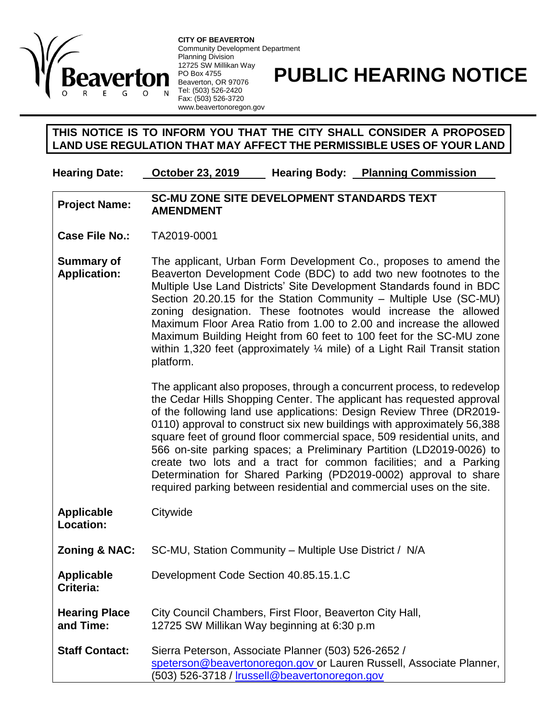

**CITY OF BEAVERTON** Community Development Department Planning Division 12725 SW Millikan Way PO Box 4755 Beaverton, OR 97076 Tel: (503) 526-2420 Fax: (503) 526-3720 www.beavertonoregon.gov

## **PUBLIC HEARING NOTICE**

## **THIS NOTICE IS TO INFORM YOU THAT THE CITY SHALL CONSIDER A PROPOSED LAND USE REGULATION THAT MAY AFFECT THE PERMISSIBLE USES OF YOUR LAND**

**Hearing Date: October 23, 2019 Hearing Body: Planning Commission**

## **Project Name: SC-MU ZONE SITE DEVELOPMENT STANDARDS TEXT AMENDMENT**

**Case File No.:** TA2019-0001

**Summary of Application:** The applicant, Urban Form Development Co., proposes to amend the Beaverton Development Code (BDC) to add two new footnotes to the Multiple Use Land Districts' Site Development Standards found in BDC Section 20.20.15 for the Station Community – Multiple Use (SC-MU) zoning designation. These footnotes would increase the allowed Maximum Floor Area Ratio from 1.00 to 2.00 and increase the allowed Maximum Building Height from 60 feet to 100 feet for the SC-MU zone within 1,320 feet (approximately 1/4 mile) of a Light Rail Transit station platform.

> The applicant also proposes, through a concurrent process, to redevelop the Cedar Hills Shopping Center. The applicant has requested approval of the following land use applications: Design Review Three (DR2019- 0110) approval to construct six new buildings with approximately 56,388 square feet of ground floor commercial space, 509 residential units, and 566 on-site parking spaces; a Preliminary Partition (LD2019-0026) to create two lots and a tract for common facilities; and a Parking Determination for Shared Parking (PD2019-0002) approval to share required parking between residential and commercial uses on the site.

| Applicable<br>Location:           | Citywide                                                                                                                                                                    |
|-----------------------------------|-----------------------------------------------------------------------------------------------------------------------------------------------------------------------------|
| Zoning & NAC:                     | SC-MU, Station Community – Multiple Use District / N/A                                                                                                                      |
| <b>Applicable</b><br>Criteria:    | Development Code Section 40.85.15.1.C                                                                                                                                       |
| <b>Hearing Place</b><br>and Time: | City Council Chambers, First Floor, Beaverton City Hall,<br>12725 SW Millikan Way beginning at 6:30 p.m.                                                                    |
| <b>Staff Contact:</b>             | Sierra Peterson, Associate Planner (503) 526-2652 /<br>speterson@beavertonoregon.gov or Lauren Russell, Associate Planner,<br>(503) 526-3718 / Irussell@beavertonoregon.gov |